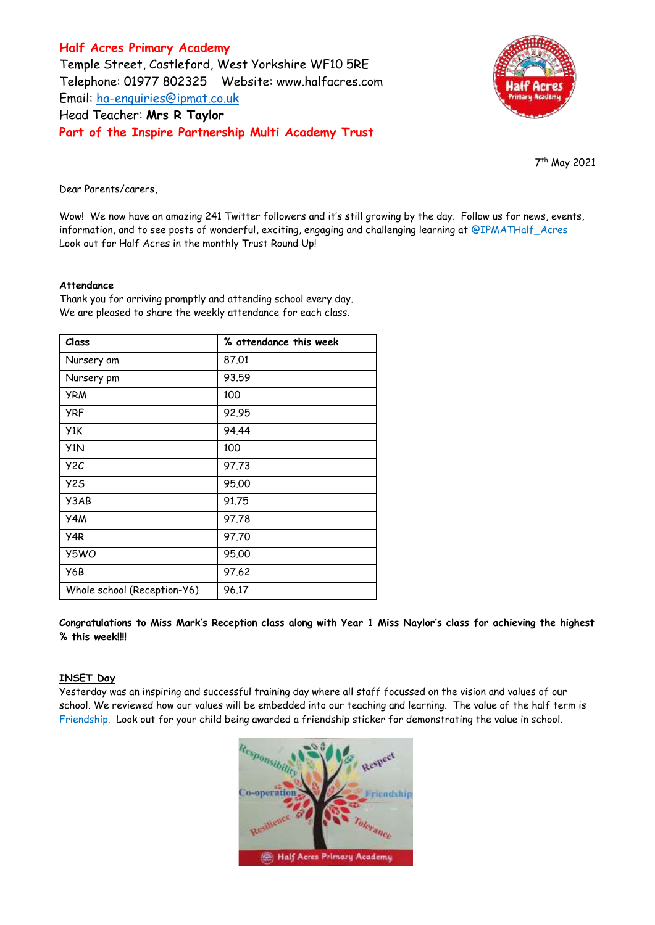**Half Acres Primary Academy** Temple Street, Castleford, West Yorkshire WF10 5RE Telephone: 01977 802325 Website: [www.halfacres.com](http://www.halfacres.com/) Email: [ha-enquiries@ipmat.co.uk](mailto:ha-enquiries@ipmat.co.uk) Head Teacher: **Mrs R Taylor Part of the Inspire Partnership Multi Academy Trust**



7 th May 2021

Dear Parents/carers,

Wow! We now have an amazing 241 Twitter followers and it's still growing by the day. Follow us for news, events, information, and to see posts of wonderful, exciting, engaging and challenging learning at @IPMATHalf\_Acres Look out for Half Acres in the monthly Trust Round Up!

# **Attendance**

Thank you for arriving promptly and attending school every day. We are pleased to share the weekly attendance for each class.

| Class                       | % attendance this week |
|-----------------------------|------------------------|
| Nursery am                  | 87.01                  |
| Nursery pm                  | 93.59                  |
| <b>YRM</b>                  | 100                    |
| <b>YRF</b>                  | 92.95                  |
| Y1K                         | 94.44                  |
| Y <sub>1</sub> N            | 100                    |
| Y <sub>2</sub> C            | 97.73                  |
| <b>Y25</b>                  | 95,00                  |
| Y3AB                        | 91.75                  |
| Y4M                         | 97.78                  |
| Y4R                         | 97.70                  |
| Y5WO                        | 95,00                  |
| Y6B                         | 97.62                  |
| Whole school (Reception-Y6) | 96.17                  |

**Congratulations to Miss Mark's Reception class along with Year 1 Miss Naylor's class for achieving the highest % this week!!!!**

# **INSET Day**

Yesterday was an inspiring and successful training day where all staff focussed on the vision and values of our school. We reviewed how our values will be embedded into our teaching and learning. The value of the half term is Friendship. Look out for your child being awarded a friendship sticker for demonstrating the value in school.